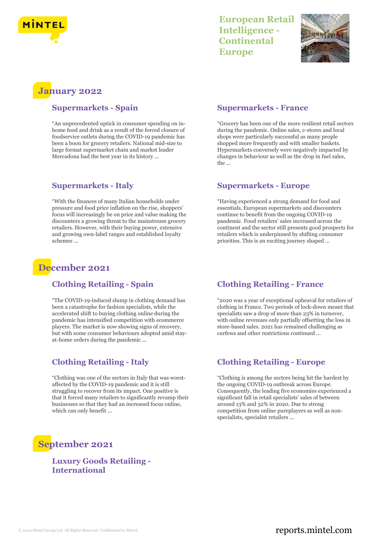



# **January 2022**

#### **Supermarkets - Spain**

"An unprecedented uptick in consumer spending on inhome food and drink as a result of the forced closure of foodservice outlets during the COVID-19 pandemic has been a boon for grocery retailers. National mid-size to large format supermarket chain and market leader Mercadona had the best year in its history ...

#### **Supermarkets - Italy**

"With the finances of many Italian households under pressure and food price inflation on the rise, shoppers' focus will increasingly be on price and value making the discounters a growing threat to the mainstream grocery retailers. However, with their buying power, extensive and growing own-label ranges and established loyalty schemes ...

## **December 2021**

#### **Clothing Retailing - Spain**

"The COVID-19-induced slump in clothing demand has been a catastrophe for fashion specialists, while the accelerated shift to buying clothing online during the pandemic has intensified competition with ecommerce players. The market is now showing signs of recovery, but with some consumer behaviours adopted amid stayat-home orders during the pandemic ...

### **Clothing Retailing - Italy**

"Clothing was one of the sectors in Italy that was worstaffected by the COVID-19 pandemic and it is still struggling to recover from its impact. One positive is that it forced many retailers to significantly revamp their businesses so that they had an increased focus online, which can only benefit ...

# **September 2021**

#### **Luxury Goods Retailing - International**

#### **Supermarkets - France**

"Grocery has been one of the more resilient retail sectors during the pandemic. Online sales, c-stores and local shops were particularly successful as many people shopped more frequently and with smaller baskets. Hypermarkets conversely were negatively impacted by changes in behaviour as well as the drop in fuel sales, the ...

#### **Supermarkets - Europe**

"Having experienced a strong demand for food and essentials, European supermarkets and discounters continue to benefit from the ongoing COVID-19 pandemic. Food retailers' sales increased across the continent and the sector still presents good prospects for retailers which is underpinned by shifting consumer priorities. This is an exciting journey shaped ...

#### **Clothing Retailing - France**

"2020 was a year of exceptional upheaval for retailers of clothing in France. Two periods of lock-down meant that specialists saw a drop of more than 23% in turnover, with online revenues only partially offsetting the loss in store-based sales. 2021 has remained challenging as curfews and other restrictions continued ...

### **Clothing Retailing - Europe**

"Clothing is among the sectors being hit the hardest by the ongoing COVID-19 outbreak across Europe. Consequently, the leading five economies experienced a significant fall in retail specialists' sales of between around 13% and 32% in 2020. Due to strong competition from online pureplayers as well as nonspecialists, specialist retailers ...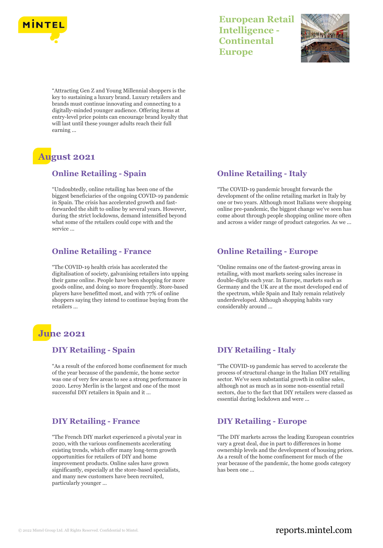



"Attracting Gen Z and Young Millennial shoppers is the key to sustaining a luxury brand. Luxury retailers and brands must continue innovating and connecting to a digitally-minded younger audience. Offering items at entry-level price points can encourage brand loyalty that will last until these younger adults reach their full earning ...

# **August 2021**

#### **Online Retailing - Spain**

"Undoubtedly, online retailing has been one of the biggest beneficiaries of the ongoing COVID-19 pandemic in Spain. The crisis has accelerated growth and fastforwarded the shift to online by several years. However, during the strict lockdowns, demand intensified beyond what some of the retailers could cope with and the service ...

#### **Online Retailing - France**

"The COVID-19 health crisis has accelerated the digitalisation of society, galvanising retailers into upping their game online. People have been shopping for more goods online, and doing so more frequently. Store-based players have benefitted most, and with 77% of online shoppers saying they intend to continue buying from the retailers ...

# **June 2021**

#### **DIY Retailing - Spain**

"As a result of the enforced home confinement for much of the year because of the pandemic, the home sector was one of very few areas to see a strong performance in 2020. Leroy Merlin is the largest and one of the most successful DIY retailers in Spain and it ...

### **DIY Retailing - France**

"The French DIY market experienced a pivotal year in 2020, with the various confinements accelerating existing trends, which offer many long-term growth opportunities for retailers of DIY and home improvement products. Online sales have grown significantly, especially at the store-based specialists, and many new customers have been recruited, particularly younger ...

### **Online Retailing - Italy**

"The COVID-19 pandemic brought forwards the development of the online retailing market in Italy by one or two years. Although most Italians were shopping online pre-pandemic, the biggest change we've seen has come about through people shopping online more often and across a wider range of product categories. As we ...

### **Online Retailing - Europe**

"Online remains one of the fastest-growing areas in retailing, with most markets seeing sales increase in double-digits each year. In Europe, markets such as Germany and the UK are at the most developed end of the spectrum, while Spain and Italy remain relatively underdeveloped. Although shopping habits vary considerably around ...

### **DIY Retailing - Italy**

"The COVID-19 pandemic has served to accelerate the process of structural change in the Italian DIY retailing sector. We've seen substantial growth in online sales, although not as much as in some non-essential retail sectors, due to the fact that DIY retailers were classed as essential during lockdown and were ...

### **DIY Retailing - Europe**

"The DIY markets across the leading European countries vary a great deal, due in part to differences in home ownership levels and the development of housing prices. As a result of the home confinement for much of the year because of the pandemic, the home goods category has been one ...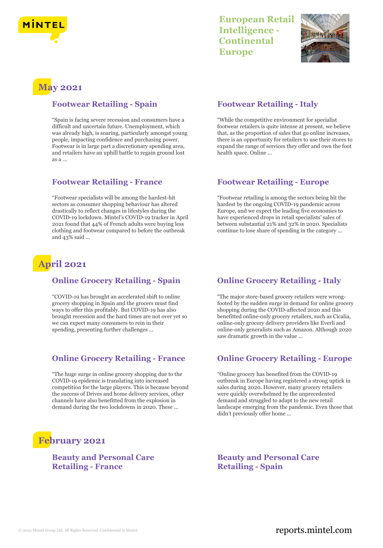



# **May 2021**

#### **Footwear Retailing - Spain**

"Spain is facing severe recession and consumers have a difficult and uncertain future. Unemployment, which was already high, is soaring, particularly amongst young people, impacting confidence and purchasing power. Footwear is in large part a discretionary spending area, and retailers have an uphill battle to regain ground lost as a ...

#### **Footwear Retailing - France**

"Footwear specialists will be among the hardest-hit sectors as consumer shopping behaviour has altered drastically to reflect changes in lifestyles during the COVID-19 lockdown. Mintel's COVID-19 tracker in April 2021 found that 44% of French adults were buying less clothing and footwear compared to before the outbreak and 43% said ...

# **April 2021**

### **Online Grocery Retailing - Spain**

"COVID-19 has brought an accelerated shift to online grocery shopping in Spain and the grocers must find ways to offer this profitably. But COVID-19 has also brought recession and the hard times are not over yet so we can expect many consumers to rein in their spending, presenting further challenges ...

### **Online Grocery Retailing - France**

"The huge surge in online grocery shopping due to the COVID-19 epidemic is translating into increased competition for the large players. This is because beyond the success of Drives and home delivery services, other channels have also benefitted from the explosion in demand during the two lockdowns in 2020. These ...

# **February 2021**

#### **Beauty and Personal Care Retailing - France**

#### **Footwear Retailing - Italy**

"While the competitive environment for specialist footwear retailers is quite intense at present, we believe that, as the proportion of sales that go online increases, there is an opportunity for retailers to use their stores to expand the range of services they offer and own the foot health space. Online ...

#### **Footwear Retailing - Europe**

"Footwear retailing is among the sectors being hit the hardest by the ongoing COVID-19 pandemic across Europe, and we expect the leading five economies to have experienced drops in retail specialists' sales of between substantial 21% and 32% in 2020. Specialists continue to lose share of spending in the category ...

### **Online Grocery Retailing - Italy**

"The major store-based grocery retailers were wrongfooted by the sudden surge in demand for online grocery shopping during the COVID-affected 2020 and this benefitted online-only grocery retailers, such as Cicalia, online-only grocery delivery providers like Everli and online-only generalists such as Amazon. Although 2020 saw dramatic growth in the value ...

### **Online Grocery Retailing - Europe**

"Online grocery has benefited from the COVID-19 outbreak in Europe having registered a strong uptick in sales during 2020. However, many grocery retailers were quickly overwhelmed by the unprecedented demand and struggled to adapt to the new retail landscape emerging from the pandemic. Even those that didn't previously offer home ...

#### **Beauty and Personal Care Retailing - Spain**